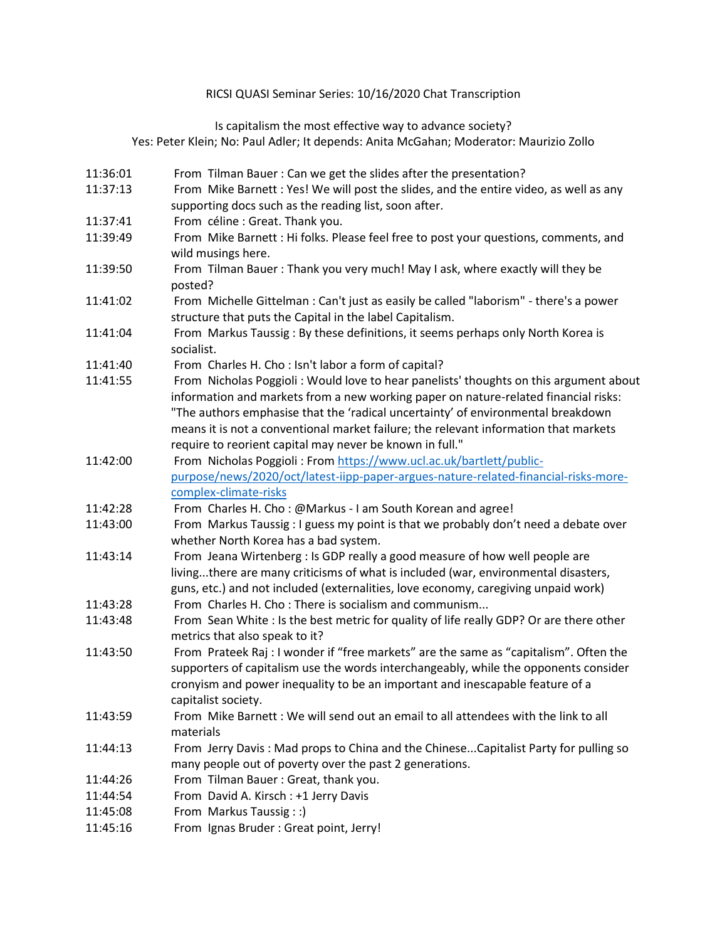## RICSI QUASI Seminar Series: 10/16/2020 Chat Transcription

Is capitalism the most effective way to advance society?

Yes: [Peter Klein;](https://business.baylor.edu/directory/?id=Peter_Klein) No: [Paul Adler;](https://www.marshall.usc.edu/personnel/paul-adler) It depends: [Anita McGahan;](https://www.rotman.utoronto.ca/FacultyAndResearch/Faculty/FacultyBios/McGahan.aspx) Moderator: [Maurizio Zollo](https://www.imperial.ac.uk/people/m.zollo)

- 11:36:01 From Tilman Bauer : Can we get the slides after the presentation? 11:37:13 From Mike Barnett : Yes! We will post the slides, and the entire video, as well as any supporting docs such as the reading list, soon after. 11:37:41 From céline : Great. Thank you. 11:39:49 From Mike Barnett : Hi folks. Please feel free to post your questions, comments, and wild musings here. 11:39:50 From Tilman Bauer : Thank you very much! May I ask, where exactly will they be posted? 11:41:02 From Michelle Gittelman : Can't just as easily be called "laborism" - there's a power structure that puts the Capital in the label Capitalism.
- 11:41:04 From Markus Taussig : By these definitions, it seems perhaps only North Korea is socialist.
- 11:41:40 From Charles H. Cho : Isn't labor a form of capital?
- 11:41:55 From Nicholas Poggioli : Would love to hear panelists' thoughts on this argument about information and markets from a new working paper on nature-related financial risks: "The authors emphasise that the 'radical uncertainty' of environmental breakdown means it is not a conventional market failure; the relevant information that markets require to reorient capital may never be known in full."
- 11:42:00 From Nicholas Poggioli : Fro[m https://www.ucl.ac.uk/bartlett/public](https://www.ucl.ac.uk/bartlett/public-purpose/news/2020/oct/latest-iipp-paper-argues-nature-related-financial-risks-more-complex-climate-risks)[purpose/news/2020/oct/latest-iipp-paper-argues-nature-related-financial-risks-more](https://www.ucl.ac.uk/bartlett/public-purpose/news/2020/oct/latest-iipp-paper-argues-nature-related-financial-risks-more-complex-climate-risks)[complex-climate-risks](https://www.ucl.ac.uk/bartlett/public-purpose/news/2020/oct/latest-iipp-paper-argues-nature-related-financial-risks-more-complex-climate-risks)
- 11:42:28 From Charles H. Cho : @Markus I am South Korean and agree!
- 11:43:00 From Markus Taussig : I guess my point is that we probably don't need a debate over whether North Korea has a bad system.
- 11:43:14 From Jeana Wirtenberg : Is GDP really a good measure of how well people are living...there are many criticisms of what is included (war, environmental disasters, guns, etc.) and not included (externalities, love economy, caregiving unpaid work)
- 11:43:28 From Charles H. Cho : There is socialism and communism...
- 11:43:48 From Sean White : Is the best metric for quality of life really GDP? Or are there other metrics that also speak to it?
- 11:43:50 From Prateek Raj : I wonder if "free markets" are the same as "capitalism". Often the supporters of capitalism use the words interchangeably, while the opponents consider cronyism and power inequality to be an important and inescapable feature of a capitalist society.
- 11:43:59 From Mike Barnett : We will send out an email to all attendees with the link to all materials
- 11:44:13 From Jerry Davis : Mad props to China and the Chinese...Capitalist Party for pulling so many people out of poverty over the past 2 generations.
- 11:44:26 From Tilman Bauer : Great, thank you.
- 11:44:54 From David A. Kirsch : +1 Jerry Davis
- 11:45:08 From Markus Taussig : :)
- 11:45:16 From Ignas Bruder : Great point, Jerry!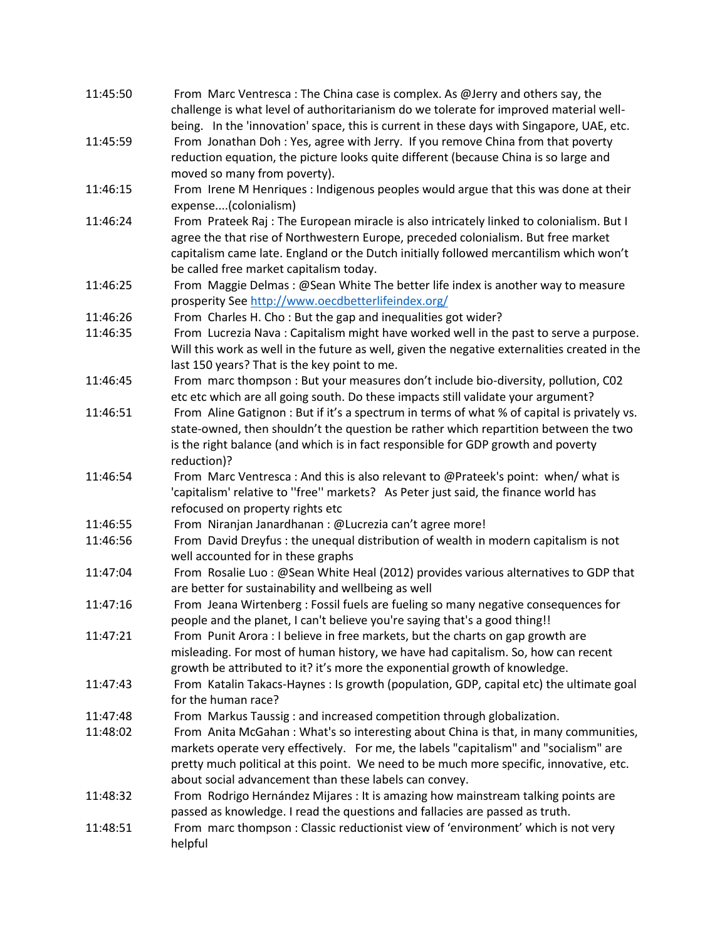| 11:45:50 | From Marc Ventresca: The China case is complex. As @Jerry and others say, the<br>challenge is what level of authoritarianism do we tolerate for improved material well-                                                                                                                                                           |
|----------|-----------------------------------------------------------------------------------------------------------------------------------------------------------------------------------------------------------------------------------------------------------------------------------------------------------------------------------|
| 11:45:59 | being. In the 'innovation' space, this is current in these days with Singapore, UAE, etc.<br>From Jonathan Doh: Yes, agree with Jerry. If you remove China from that poverty<br>reduction equation, the picture looks quite different (because China is so large and                                                              |
|          | moved so many from poverty).                                                                                                                                                                                                                                                                                                      |
| 11:46:15 | From Irene M Henriques : Indigenous peoples would argue that this was done at their<br>expense(colonialism)                                                                                                                                                                                                                       |
| 11:46:24 | From Prateek Raj : The European miracle is also intricately linked to colonialism. But I<br>agree the that rise of Northwestern Europe, preceded colonialism. But free market<br>capitalism came late. England or the Dutch initially followed mercantilism which won't<br>be called free market capitalism today.                |
| 11:46:25 | From Maggie Delmas: @Sean White The better life index is another way to measure<br>prosperity See http://www.oecdbetterlifeindex.org/                                                                                                                                                                                             |
| 11:46:26 | From Charles H. Cho: But the gap and inequalities got wider?                                                                                                                                                                                                                                                                      |
| 11:46:35 | From Lucrezia Nava: Capitalism might have worked well in the past to serve a purpose.<br>Will this work as well in the future as well, given the negative externalities created in the<br>last 150 years? That is the key point to me.                                                                                            |
| 11:46:45 | From marc thompson : But your measures don't include bio-diversity, pollution, CO2<br>etc etc which are all going south. Do these impacts still validate your argument?                                                                                                                                                           |
| 11:46:51 | From Aline Gatignon: But if it's a spectrum in terms of what % of capital is privately vs.<br>state-owned, then shouldn't the question be rather which repartition between the two<br>is the right balance (and which is in fact responsible for GDP growth and poverty<br>reduction)?                                            |
| 11:46:54 | From Marc Ventresca: And this is also relevant to @Prateek's point: when/ what is<br>'capitalism' relative to "free" markets? As Peter just said, the finance world has<br>refocused on property rights etc                                                                                                                       |
| 11:46:55 | From Niranjan Janardhanan : @Lucrezia can't agree more!                                                                                                                                                                                                                                                                           |
| 11:46:56 | From David Dreyfus : the unequal distribution of wealth in modern capitalism is not<br>well accounted for in these graphs                                                                                                                                                                                                         |
| 11:47:04 | From Rosalie Luo: @Sean White Heal (2012) provides various alternatives to GDP that<br>are better for sustainability and wellbeing as well                                                                                                                                                                                        |
| 11:47:16 | From Jeana Wirtenberg: Fossil fuels are fueling so many negative consequences for<br>people and the planet, I can't believe you're saying that's a good thing!!                                                                                                                                                                   |
| 11:47:21 | From Punit Arora : I believe in free markets, but the charts on gap growth are<br>misleading. For most of human history, we have had capitalism. So, how can recent<br>growth be attributed to it? it's more the exponential growth of knowledge.                                                                                 |
| 11:47:43 | From Katalin Takacs-Haynes : Is growth (population, GDP, capital etc) the ultimate goal<br>for the human race?                                                                                                                                                                                                                    |
| 11:47:48 | From Markus Taussig: and increased competition through globalization.                                                                                                                                                                                                                                                             |
| 11:48:02 | From Anita McGahan: What's so interesting about China is that, in many communities,<br>markets operate very effectively. For me, the labels "capitalism" and "socialism" are<br>pretty much political at this point. We need to be much more specific, innovative, etc.<br>about social advancement than these labels can convey. |
| 11:48:32 | From Rodrigo Hernández Mijares : It is amazing how mainstream talking points are<br>passed as knowledge. I read the questions and fallacies are passed as truth.                                                                                                                                                                  |
| 11:48:51 | From marc thompson : Classic reductionist view of 'environment' which is not very<br>helpful                                                                                                                                                                                                                                      |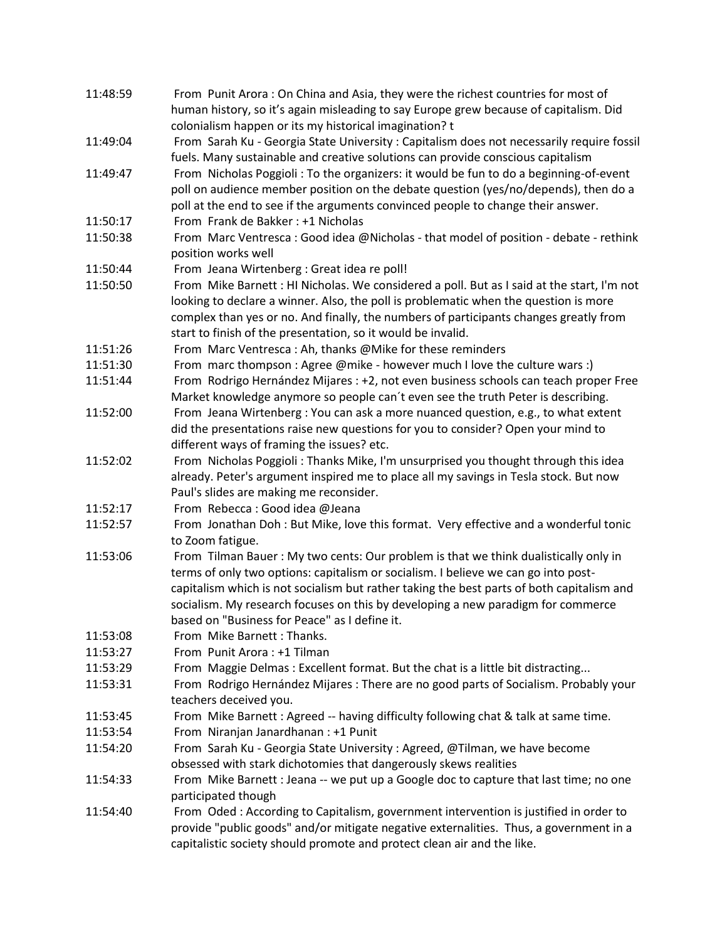| 11:48:59 | From Punit Arora: On China and Asia, they were the richest countries for most of                             |
|----------|--------------------------------------------------------------------------------------------------------------|
|          | human history, so it's again misleading to say Europe grew because of capitalism. Did                        |
|          | colonialism happen or its my historical imagination? t                                                       |
| 11:49:04 | From Sarah Ku - Georgia State University : Capitalism does not necessarily require fossil                    |
|          | fuels. Many sustainable and creative solutions can provide conscious capitalism                              |
| 11:49:47 | From Nicholas Poggioli: To the organizers: it would be fun to do a beginning-of-event                        |
|          | poll on audience member position on the debate question (yes/no/depends), then do a                          |
|          | poll at the end to see if the arguments convinced people to change their answer.                             |
| 11:50:17 | From Frank de Bakker: +1 Nicholas                                                                            |
| 11:50:38 | From Marc Ventresca : Good idea @Nicholas - that model of position - debate - rethink<br>position works well |
| 11:50:44 | From Jeana Wirtenberg : Great idea re poll!                                                                  |
| 11:50:50 | From Mike Barnett : HI Nicholas. We considered a poll. But as I said at the start, I'm not                   |
|          | looking to declare a winner. Also, the poll is problematic when the question is more                         |
|          | complex than yes or no. And finally, the numbers of participants changes greatly from                        |
|          | start to finish of the presentation, so it would be invalid.                                                 |
| 11:51:26 | From Marc Ventresca: Ah, thanks @Mike for these reminders                                                    |
| 11:51:30 | From marc thompson : Agree @mike - however much I love the culture wars :)                                   |
| 11:51:44 | From Rodrigo Hernández Mijares : +2, not even business schools can teach proper Free                         |
|          | Market knowledge anymore so people can't even see the truth Peter is describing.                             |
| 11:52:00 | From Jeana Wirtenberg: You can ask a more nuanced question, e.g., to what extent                             |
|          | did the presentations raise new questions for you to consider? Open your mind to                             |
|          | different ways of framing the issues? etc.                                                                   |
| 11:52:02 | From Nicholas Poggioli: Thanks Mike, I'm unsurprised you thought through this idea                           |
|          | already. Peter's argument inspired me to place all my savings in Tesla stock. But now                        |
|          | Paul's slides are making me reconsider.                                                                      |
| 11:52:17 | From Rebecca: Good idea @Jeana                                                                               |
| 11:52:57 | From Jonathan Doh: But Mike, love this format. Very effective and a wonderful tonic                          |
|          | to Zoom fatigue.                                                                                             |
| 11:53:06 | From Tilman Bauer: My two cents: Our problem is that we think dualistically only in                          |
|          | terms of only two options: capitalism or socialism. I believe we can go into post-                           |
|          | capitalism which is not socialism but rather taking the best parts of both capitalism and                    |
|          | socialism. My research focuses on this by developing a new paradigm for commerce                             |
|          | based on "Business for Peace" as I define it.                                                                |
| 11:53:08 | From Mike Barnett: Thanks.                                                                                   |
| 11:53:27 | From Punit Arora: +1 Tilman                                                                                  |
| 11:53:29 | From Maggie Delmas: Excellent format. But the chat is a little bit distracting                               |
| 11:53:31 | From Rodrigo Hernández Mijares: There are no good parts of Socialism. Probably your                          |
|          | teachers deceived you.                                                                                       |
| 11:53:45 | From Mike Barnett: Agreed -- having difficulty following chat & talk at same time.                           |
| 11:53:54 | From Niranjan Janardhanan : +1 Punit                                                                         |
| 11:54:20 | From Sarah Ku - Georgia State University: Agreed, @Tilman, we have become                                    |
|          | obsessed with stark dichotomies that dangerously skews realities                                             |
| 11:54:33 | From Mike Barnett : Jeana -- we put up a Google doc to capture that last time; no one                        |
|          | participated though                                                                                          |
| 11:54:40 | From Oded: According to Capitalism, government intervention is justified in order to                         |
|          | provide "public goods" and/or mitigate negative externalities. Thus, a government in a                       |
|          | capitalistic society should promote and protect clean air and the like.                                      |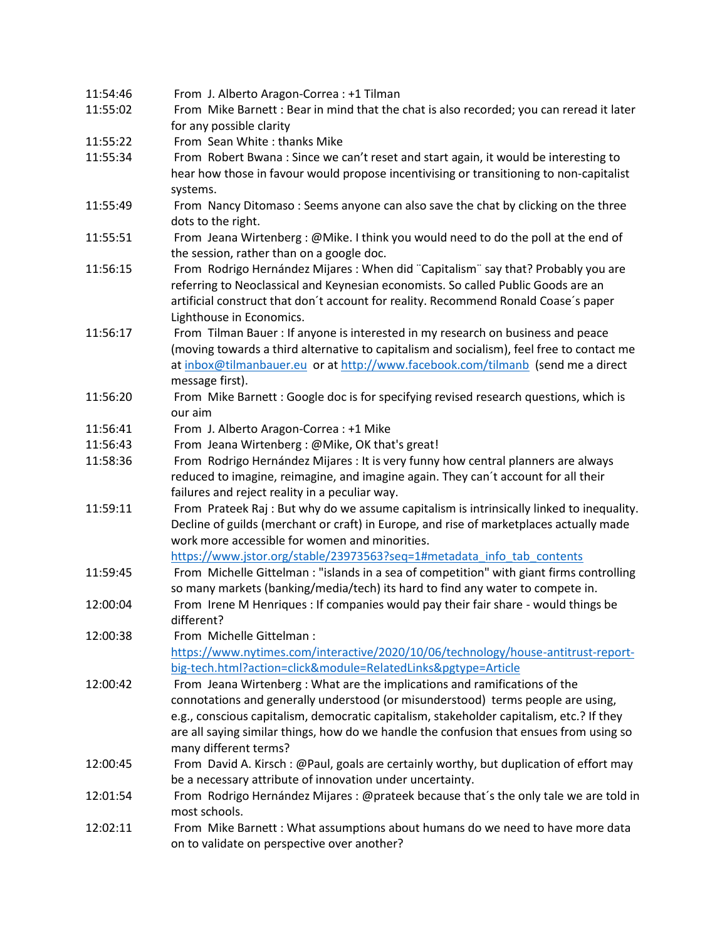| 11:54:46 | From J. Alberto Aragon-Correa : +1 Tilman                                                 |
|----------|-------------------------------------------------------------------------------------------|
| 11:55:02 | From Mike Barnett : Bear in mind that the chat is also recorded; you can reread it later  |
|          | for any possible clarity                                                                  |
| 11:55:22 | From Sean White: thanks Mike                                                              |
| 11:55:34 | From Robert Bwana: Since we can't reset and start again, it would be interesting to       |
|          | hear how those in favour would propose incentivising or transitioning to non-capitalist   |
|          | systems.                                                                                  |
| 11:55:49 | From Nancy Ditomaso: Seems anyone can also save the chat by clicking on the three         |
|          | dots to the right.                                                                        |
| 11:55:51 | From Jeana Wirtenberg: @Mike. I think you would need to do the poll at the end of         |
|          | the session, rather than on a google doc.                                                 |
| 11:56:15 | From Rodrigo Hernández Mijares: When did "Capitalism" say that? Probably you are          |
|          | referring to Neoclassical and Keynesian economists. So called Public Goods are an         |
|          | artificial construct that don't account for reality. Recommend Ronald Coase's paper       |
|          | Lighthouse in Economics.                                                                  |
| 11:56:17 | From Tilman Bauer : If anyone is interested in my research on business and peace          |
|          | (moving towards a third alternative to capitalism and socialism), feel free to contact me |
|          | at inbox@tilmanbauer.eu or at http://www.facebook.com/tilmanb (send me a direct           |
|          | message first).                                                                           |
| 11:56:20 | From Mike Barnett : Google doc is for specifying revised research questions, which is     |
|          | our aim                                                                                   |
| 11:56:41 | From J. Alberto Aragon-Correa : +1 Mike                                                   |
| 11:56:43 | From Jeana Wirtenberg: @Mike, OK that's great!                                            |
| 11:58:36 | From Rodrigo Hernández Mijares : It is very funny how central planners are always         |
|          | reduced to imagine, reimagine, and imagine again. They can't account for all their        |
|          | failures and reject reality in a peculiar way.                                            |
| 11:59:11 | From Prateek Raj : But why do we assume capitalism is intrinsically linked to inequality. |
|          | Decline of guilds (merchant or craft) in Europe, and rise of marketplaces actually made   |
|          | work more accessible for women and minorities.                                            |
|          | https://www.jstor.org/stable/23973563?seq=1#metadata_info_tab_contents                    |
| 11:59:45 | From Michelle Gittelman : "islands in a sea of competition" with giant firms controlling  |
|          | so many markets (banking/media/tech) its hard to find any water to compete in.            |
| 12:00:04 | From Irene M Henriques : If companies would pay their fair share - would things be        |
|          | different?                                                                                |
| 12:00:38 | From Michelle Gittelman :                                                                 |
|          | https://www.nytimes.com/interactive/2020/10/06/technology/house-antitrust-report-         |
|          | big-tech.html?action=click&module=RelatedLinks&pgtype=Article                             |
| 12:00:42 | From Jeana Wirtenberg: What are the implications and ramifications of the                 |
|          | connotations and generally understood (or misunderstood) terms people are using,          |
|          | e.g., conscious capitalism, democratic capitalism, stakeholder capitalism, etc.? If they  |
|          | are all saying similar things, how do we handle the confusion that ensues from using so   |
|          | many different terms?                                                                     |
| 12:00:45 | From David A. Kirsch: @Paul, goals are certainly worthy, but duplication of effort may    |
|          | be a necessary attribute of innovation under uncertainty.                                 |
| 12:01:54 | From Rodrigo Hernández Mijares : @prateek because that's the only tale we are told in     |
|          | most schools.                                                                             |
| 12:02:11 | From Mike Barnett : What assumptions about humans do we need to have more data            |
|          | on to validate on perspective over another?                                               |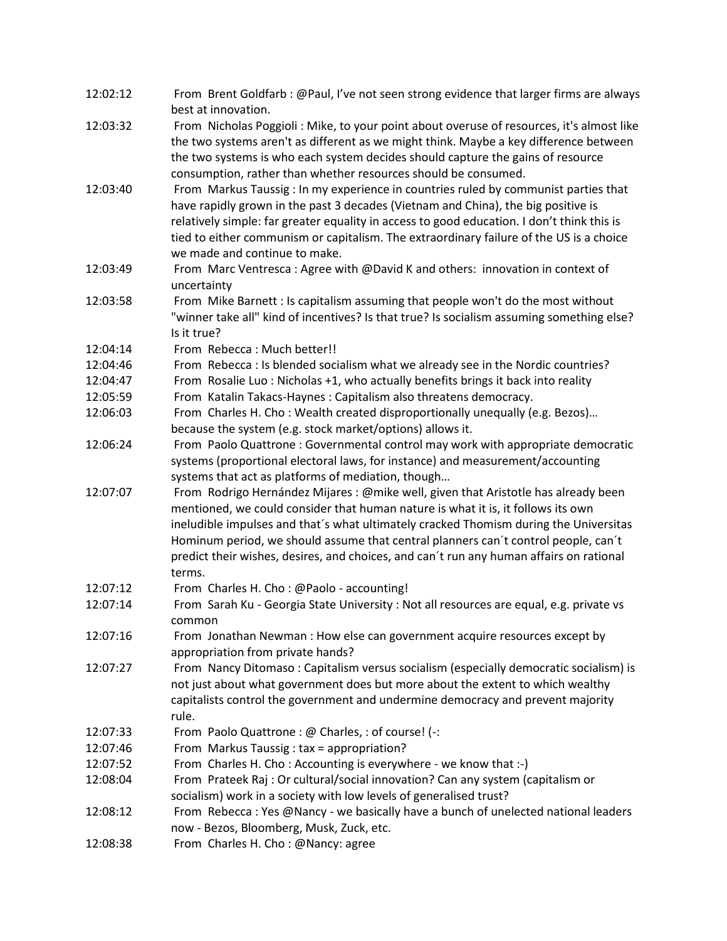| 12:02:12             | From Brent Goldfarb: @Paul, I've not seen strong evidence that larger firms are always<br>best at innovation.                                                                         |
|----------------------|---------------------------------------------------------------------------------------------------------------------------------------------------------------------------------------|
| 12:03:32             | From Nicholas Poggioli: Mike, to your point about overuse of resources, it's almost like<br>the two systems aren't as different as we might think. Maybe a key difference between     |
|                      | the two systems is who each system decides should capture the gains of resource<br>consumption, rather than whether resources should be consumed.                                     |
| 12:03:40             | From Markus Taussig : In my experience in countries ruled by communist parties that                                                                                                   |
|                      | have rapidly grown in the past 3 decades (Vietnam and China), the big positive is                                                                                                     |
|                      | relatively simple: far greater equality in access to good education. I don't think this is<br>tied to either communism or capitalism. The extraordinary failure of the US is a choice |
|                      | we made and continue to make.                                                                                                                                                         |
| 12:03:49             | From Marc Ventresca: Agree with @David K and others: innovation in context of<br>uncertainty                                                                                          |
| 12:03:58             | From Mike Barnett : Is capitalism assuming that people won't do the most without                                                                                                      |
|                      | "winner take all" kind of incentives? Is that true? Is socialism assuming something else?                                                                                             |
|                      | Is it true?                                                                                                                                                                           |
| 12:04:14             | From Rebecca: Much better!!                                                                                                                                                           |
| 12:04:46             | From Rebecca : Is blended socialism what we already see in the Nordic countries?                                                                                                      |
| 12:04:47             | From Rosalie Luo: Nicholas +1, who actually benefits brings it back into reality                                                                                                      |
| 12:05:59             | From Katalin Takacs-Haynes: Capitalism also threatens democracy.                                                                                                                      |
| 12:06:03             | From Charles H. Cho: Wealth created disproportionally unequally (e.g. Bezos)                                                                                                          |
|                      | because the system (e.g. stock market/options) allows it.                                                                                                                             |
| 12:06:24             | From Paolo Quattrone: Governmental control may work with appropriate democratic                                                                                                       |
|                      | systems (proportional electoral laws, for instance) and measurement/accounting                                                                                                        |
|                      | systems that act as platforms of mediation, though                                                                                                                                    |
| 12:07:07             | From Rodrigo Hernández Mijares : @mike well, given that Aristotle has already been                                                                                                    |
|                      | mentioned, we could consider that human nature is what it is, it follows its own                                                                                                      |
|                      | ineludible impulses and that's what ultimately cracked Thomism during the Universitas                                                                                                 |
|                      | Hominum period, we should assume that central planners can't control people, can't                                                                                                    |
|                      | predict their wishes, desires, and choices, and can't run any human affairs on rational                                                                                               |
| 12:07:12             | terms.<br>From Charles H. Cho: @Paolo - accounting!                                                                                                                                   |
| 12:07:14             | From Sarah Ku - Georgia State University : Not all resources are equal, e.g. private vs                                                                                               |
|                      | common                                                                                                                                                                                |
| 12:07:16             | From Jonathan Newman: How else can government acquire resources except by                                                                                                             |
|                      | appropriation from private hands?                                                                                                                                                     |
| 12:07:27             | From Nancy Ditomaso: Capitalism versus socialism (especially democratic socialism) is                                                                                                 |
|                      | not just about what government does but more about the extent to which wealthy                                                                                                        |
|                      | capitalists control the government and undermine democracy and prevent majority<br>rule.                                                                                              |
|                      |                                                                                                                                                                                       |
| 12:07:33<br>12:07:46 | From Paolo Quattrone : @ Charles, : of course! (-:<br>From Markus Taussig: tax = appropriation?                                                                                       |
| 12:07:52             | From Charles H. Cho: Accounting is everywhere - we know that :-)                                                                                                                      |
| 12:08:04             |                                                                                                                                                                                       |
|                      | From Prateek Raj : Or cultural/social innovation? Can any system (capitalism or<br>socialism) work in a society with low levels of generalised trust?                                 |
| 12:08:12             | From Rebecca: Yes @Nancy - we basically have a bunch of unelected national leaders                                                                                                    |
|                      | now - Bezos, Bloomberg, Musk, Zuck, etc.                                                                                                                                              |
| 12:08:38             | From Charles H. Cho: @Nancy: agree                                                                                                                                                    |
|                      |                                                                                                                                                                                       |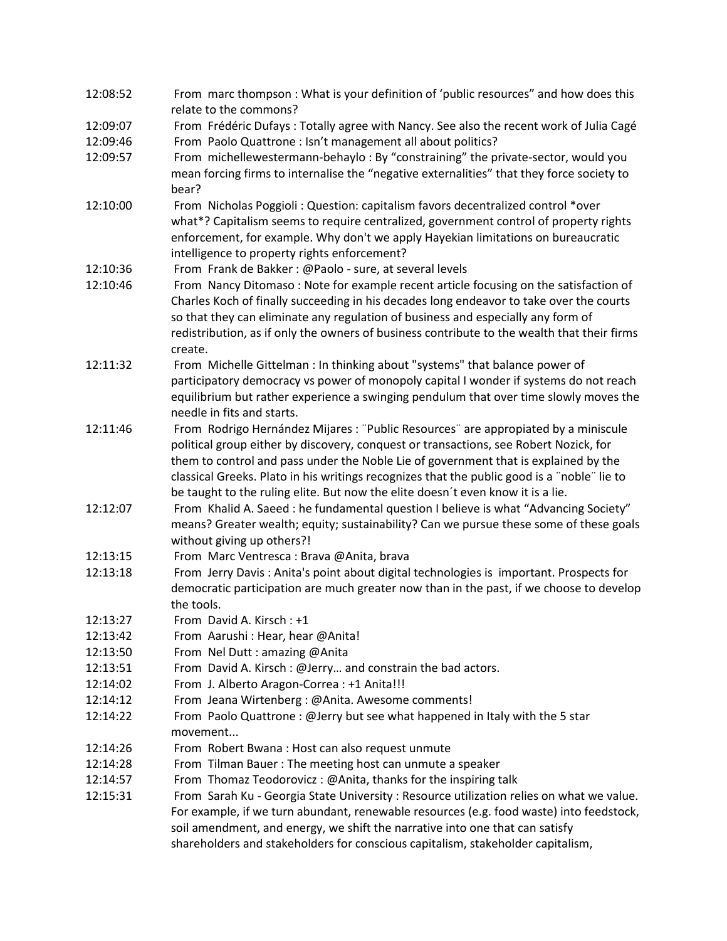| 12:08:52 | From marc thompson : What is your definition of 'public resources" and how does this        |
|----------|---------------------------------------------------------------------------------------------|
|          | relate to the commons?                                                                      |
| 12:09:07 | From Frédéric Dufays: Totally agree with Nancy. See also the recent work of Julia Cagé      |
| 12:09:46 | From Paolo Quattrone : Isn't management all about politics?                                 |
| 12:09:57 | From michellewestermann-behaylo: By "constraining" the private-sector, would you            |
|          | mean forcing firms to internalise the "negative externalities" that they force society to   |
|          | bear?                                                                                       |
| 12:10:00 | From Nicholas Poggioli: Question: capitalism favors decentralized control *over             |
|          | what*? Capitalism seems to require centralized, government control of property rights       |
|          | enforcement, for example. Why don't we apply Hayekian limitations on bureaucratic           |
|          | intelligence to property rights enforcement?                                                |
| 12:10:36 | From Frank de Bakker: @Paolo - sure, at several levels                                      |
| 12:10:46 | From Nancy Ditomaso: Note for example recent article focusing on the satisfaction of        |
|          | Charles Koch of finally succeeding in his decades long endeavor to take over the courts     |
|          | so that they can eliminate any regulation of business and especially any form of            |
|          | redistribution, as if only the owners of business contribute to the wealth that their firms |
|          | create.                                                                                     |
| 12:11:32 | From Michelle Gittelman : In thinking about "systems" that balance power of                 |
|          | participatory democracy vs power of monopoly capital I wonder if systems do not reach       |
|          | equilibrium but rather experience a swinging pendulum that over time slowly moves the       |
|          | needle in fits and starts.                                                                  |
| 12:11:46 | From Rodrigo Hernández Mijares : "Public Resources" are appropiated by a miniscule          |
|          | political group either by discovery, conquest or transactions, see Robert Nozick, for       |
|          | them to control and pass under the Noble Lie of government that is explained by the         |
|          | classical Greeks. Plato in his writings recognizes that the public good is a "noble" lie to |
|          |                                                                                             |
|          | be taught to the ruling elite. But now the elite doesn't even know it is a lie.             |
| 12:12:07 | From Khalid A. Saeed: he fundamental question I believe is what "Advancing Society"         |
|          | means? Greater wealth; equity; sustainability? Can we pursue these some of these goals      |
|          | without giving up others?!                                                                  |
| 12:13:15 | From Marc Ventresca: Brava @Anita, brava                                                    |
| 12:13:18 | From Jerry Davis: Anita's point about digital technologies is important. Prospects for      |
|          | democratic participation are much greater now than in the past, if we choose to develop     |
|          | the tools.                                                                                  |
| 12:13:27 | From David A. Kirsch: +1                                                                    |
| 12:13:42 | From Aarushi: Hear, hear @Anita!                                                            |
| 12:13:50 | From Nel Dutt: amazing @Anita                                                               |
| 12:13:51 | From David A. Kirsch: @Jerry and constrain the bad actors.                                  |
| 12:14:02 | From J. Alberto Aragon-Correa : +1 Anita!!!                                                 |
| 12:14:12 | From Jeana Wirtenberg: @Anita. Awesome comments!                                            |
| 12:14:22 | From Paolo Quattrone: @Jerry but see what happened in Italy with the 5 star                 |
|          | movement                                                                                    |
| 12:14:26 | From Robert Bwana: Host can also request unmute                                             |
| 12:14:28 | From Tilman Bauer: The meeting host can unmute a speaker                                    |
| 12:14:57 | From Thomaz Teodorovicz: @Anita, thanks for the inspiring talk                              |
| 12:15:31 | From Sarah Ku - Georgia State University : Resource utilization relies on what we value.    |
|          | For example, if we turn abundant, renewable resources (e.g. food waste) into feedstock,     |
|          | soil amendment, and energy, we shift the narrative into one that can satisfy                |
|          | shareholders and stakeholders for conscious capitalism, stakeholder capitalism,             |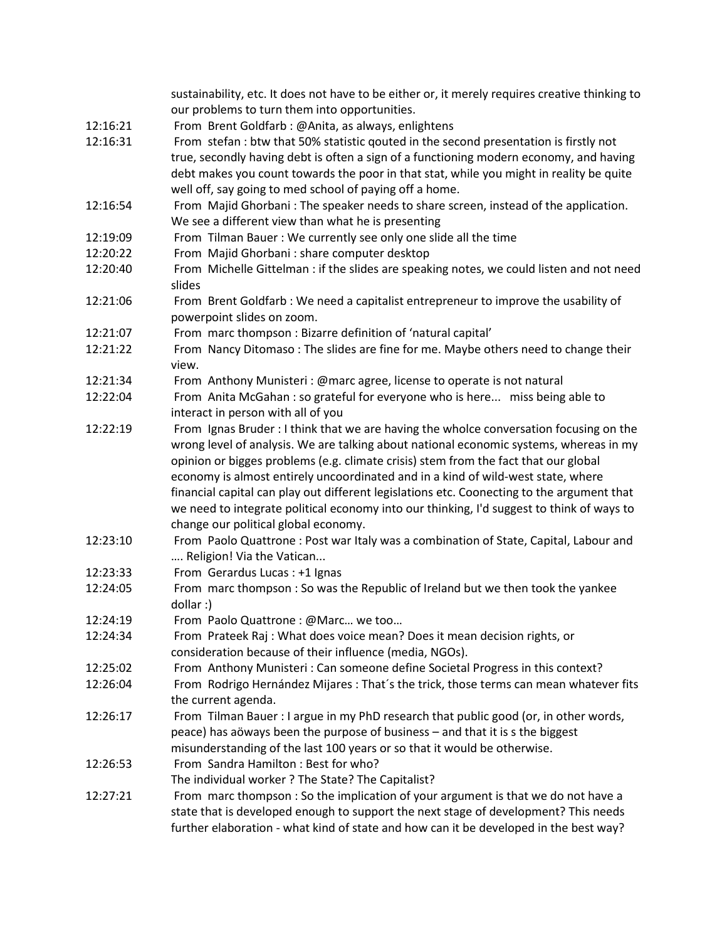|          | sustainability, etc. It does not have to be either or, it merely requires creative thinking to |
|----------|------------------------------------------------------------------------------------------------|
|          | our problems to turn them into opportunities.                                                  |
| 12:16:21 | From Brent Goldfarb: @Anita, as always, enlightens                                             |
| 12:16:31 | From stefan : btw that 50% statistic qouted in the second presentation is firstly not          |
|          | true, secondly having debt is often a sign of a functioning modern economy, and having         |
|          | debt makes you count towards the poor in that stat, while you might in reality be quite        |
|          | well off, say going to med school of paying off a home.                                        |
| 12:16:54 | From Majid Ghorbani : The speaker needs to share screen, instead of the application.           |
|          | We see a different view than what he is presenting                                             |
| 12:19:09 | From Tilman Bauer: We currently see only one slide all the time                                |
| 12:20:22 | From Majid Ghorbani : share computer desktop                                                   |
| 12:20:40 | From Michelle Gittelman : if the slides are speaking notes, we could listen and not need       |
|          | slides                                                                                         |
| 12:21:06 | From Brent Goldfarb : We need a capitalist entrepreneur to improve the usability of            |
|          | powerpoint slides on zoom.                                                                     |
| 12:21:07 | From marc thompson : Bizarre definition of 'natural capital'                                   |
| 12:21:22 | From Nancy Ditomaso: The slides are fine for me. Maybe others need to change their             |
|          | view.                                                                                          |
| 12:21:34 | From Anthony Munisteri : @marc agree, license to operate is not natural                        |
| 12:22:04 | From Anita McGahan : so grateful for everyone who is here miss being able to                   |
|          | interact in person with all of you                                                             |
| 12:22:19 | From Ignas Bruder: I think that we are having the wholce conversation focusing on the          |
|          | wrong level of analysis. We are talking about national economic systems, whereas in my         |
|          | opinion or bigges problems (e.g. climate crisis) stem from the fact that our global            |
|          | economy is almost entirely uncoordinated and in a kind of wild-west state, where               |
|          | financial capital can play out different legislations etc. Coonecting to the argument that     |
|          | we need to integrate political economy into our thinking, I'd suggest to think of ways to      |
|          | change our political global economy.                                                           |
| 12:23:10 | From Paolo Quattrone : Post war Italy was a combination of State, Capital, Labour and          |
|          | Religion! Via the Vatican                                                                      |
| 12:23:33 | From Gerardus Lucas : +1 Ignas                                                                 |
| 12:24:05 | From marc thompson : So was the Republic of Ireland but we then took the yankee                |
|          | dollar:)                                                                                       |
| 12:24:19 | From Paolo Quattrone : @Marc we too                                                            |
| 12:24:34 | From Prateek Raj: What does voice mean? Does it mean decision rights, or                       |
|          | consideration because of their influence (media, NGOs).                                        |
| 12:25:02 | From Anthony Munisteri : Can someone define Societal Progress in this context?                 |
| 12:26:04 | From Rodrigo Hernández Mijares : That's the trick, those terms can mean whatever fits          |
|          | the current agenda.                                                                            |
| 12:26:17 | From Tilman Bauer : I argue in my PhD research that public good (or, in other words,           |
|          | peace) has aöways been the purpose of business - and that it is s the biggest                  |
|          | misunderstanding of the last 100 years or so that it would be otherwise.                       |
| 12:26:53 | From Sandra Hamilton: Best for who?                                                            |
|          | The individual worker ? The State? The Capitalist?                                             |
| 12:27:21 | From marc thompson : So the implication of your argument is that we do not have a              |
|          | state that is developed enough to support the next stage of development? This needs            |
|          |                                                                                                |
|          | further elaboration - what kind of state and how can it be developed in the best way?          |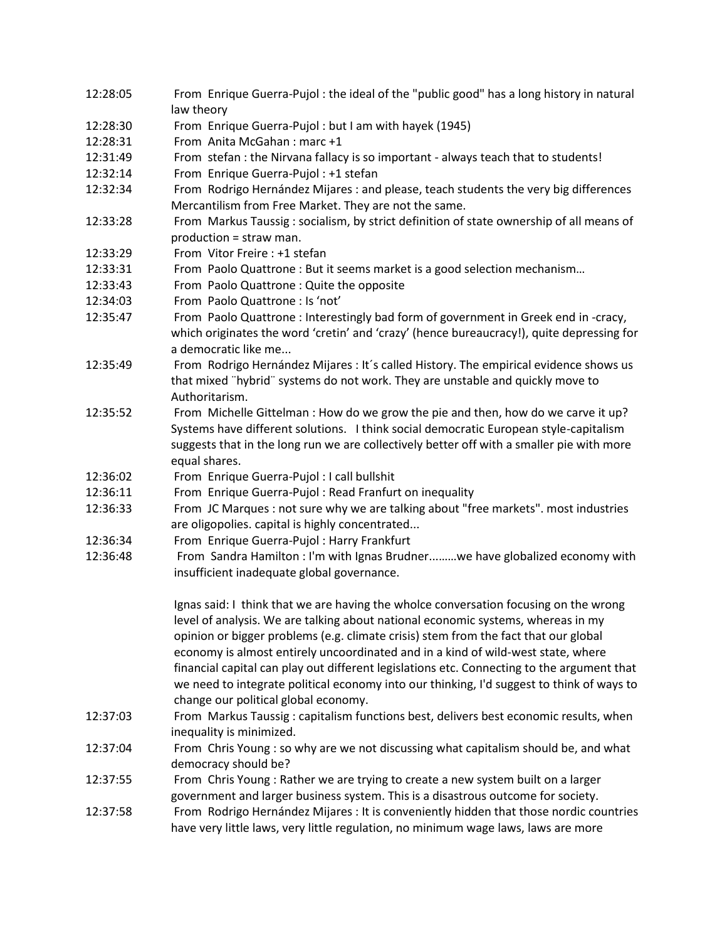| 12:28:05 | From Enrique Guerra-Pujol: the ideal of the "public good" has a long history in natural<br>law theory                                                                                                                                                                                                                                                                                                                                                                                                                                                                                  |
|----------|----------------------------------------------------------------------------------------------------------------------------------------------------------------------------------------------------------------------------------------------------------------------------------------------------------------------------------------------------------------------------------------------------------------------------------------------------------------------------------------------------------------------------------------------------------------------------------------|
| 12:28:30 | From Enrique Guerra-Pujol: but I am with hayek (1945)                                                                                                                                                                                                                                                                                                                                                                                                                                                                                                                                  |
| 12:28:31 | From Anita McGahan: marc +1                                                                                                                                                                                                                                                                                                                                                                                                                                                                                                                                                            |
| 12:31:49 | From stefan : the Nirvana fallacy is so important - always teach that to students!                                                                                                                                                                                                                                                                                                                                                                                                                                                                                                     |
| 12:32:14 | From Enrique Guerra-Pujol : +1 stefan                                                                                                                                                                                                                                                                                                                                                                                                                                                                                                                                                  |
| 12:32:34 | From Rodrigo Hernández Mijares : and please, teach students the very big differences<br>Mercantilism from Free Market. They are not the same.                                                                                                                                                                                                                                                                                                                                                                                                                                          |
| 12:33:28 | From Markus Taussig: socialism, by strict definition of state ownership of all means of<br>production = straw man.                                                                                                                                                                                                                                                                                                                                                                                                                                                                     |
| 12:33:29 | From Vitor Freire: +1 stefan                                                                                                                                                                                                                                                                                                                                                                                                                                                                                                                                                           |
| 12:33:31 | From Paolo Quattrone : But it seems market is a good selection mechanism                                                                                                                                                                                                                                                                                                                                                                                                                                                                                                               |
| 12:33:43 | From Paolo Quattrone : Quite the opposite                                                                                                                                                                                                                                                                                                                                                                                                                                                                                                                                              |
| 12:34:03 | From Paolo Quattrone : Is 'not'                                                                                                                                                                                                                                                                                                                                                                                                                                                                                                                                                        |
| 12:35:47 | From Paolo Quattrone : Interestingly bad form of government in Greek end in -cracy,<br>which originates the word 'cretin' and 'crazy' (hence bureaucracy!), quite depressing for<br>a democratic like me                                                                                                                                                                                                                                                                                                                                                                               |
| 12:35:49 | From Rodrigo Hernández Mijares : It's called History. The empirical evidence shows us<br>that mixed "hybrid" systems do not work. They are unstable and quickly move to<br>Authoritarism.                                                                                                                                                                                                                                                                                                                                                                                              |
| 12:35:52 | From Michelle Gittelman : How do we grow the pie and then, how do we carve it up?<br>Systems have different solutions. I think social democratic European style-capitalism<br>suggests that in the long run we are collectively better off with a smaller pie with more<br>equal shares.                                                                                                                                                                                                                                                                                               |
| 12:36:02 | From Enrique Guerra-Pujol : I call bullshit                                                                                                                                                                                                                                                                                                                                                                                                                                                                                                                                            |
| 12:36:11 | From Enrique Guerra-Pujol: Read Franfurt on inequality                                                                                                                                                                                                                                                                                                                                                                                                                                                                                                                                 |
| 12:36:33 | From JC Marques : not sure why we are talking about "free markets". most industries<br>are oligopolies. capital is highly concentrated                                                                                                                                                                                                                                                                                                                                                                                                                                                 |
| 12:36:34 | From Enrique Guerra-Pujol : Harry Frankfurt                                                                                                                                                                                                                                                                                                                                                                                                                                                                                                                                            |
| 12:36:48 | From Sandra Hamilton : I'm with Ignas Brudnerwe have globalized economy with<br>insufficient inadequate global governance.                                                                                                                                                                                                                                                                                                                                                                                                                                                             |
|          | Ignas said: I think that we are having the wholce conversation focusing on the wrong<br>level of analysis. We are talking about national economic systems, whereas in my<br>opinion or bigger problems (e.g. climate crisis) stem from the fact that our global<br>economy is almost entirely uncoordinated and in a kind of wild-west state, where<br>financial capital can play out different legislations etc. Connecting to the argument that<br>we need to integrate political economy into our thinking, I'd suggest to think of ways to<br>change our political global economy. |
| 12:37:03 | From Markus Taussig: capitalism functions best, delivers best economic results, when<br>inequality is minimized.                                                                                                                                                                                                                                                                                                                                                                                                                                                                       |
| 12:37:04 | From Chris Young : so why are we not discussing what capitalism should be, and what<br>democracy should be?                                                                                                                                                                                                                                                                                                                                                                                                                                                                            |
| 12:37:55 | From Chris Young: Rather we are trying to create a new system built on a larger<br>government and larger business system. This is a disastrous outcome for society.                                                                                                                                                                                                                                                                                                                                                                                                                    |
| 12:37:58 | From Rodrigo Hernández Mijares : It is conveniently hidden that those nordic countries<br>have very little laws, very little regulation, no minimum wage laws, laws are more                                                                                                                                                                                                                                                                                                                                                                                                           |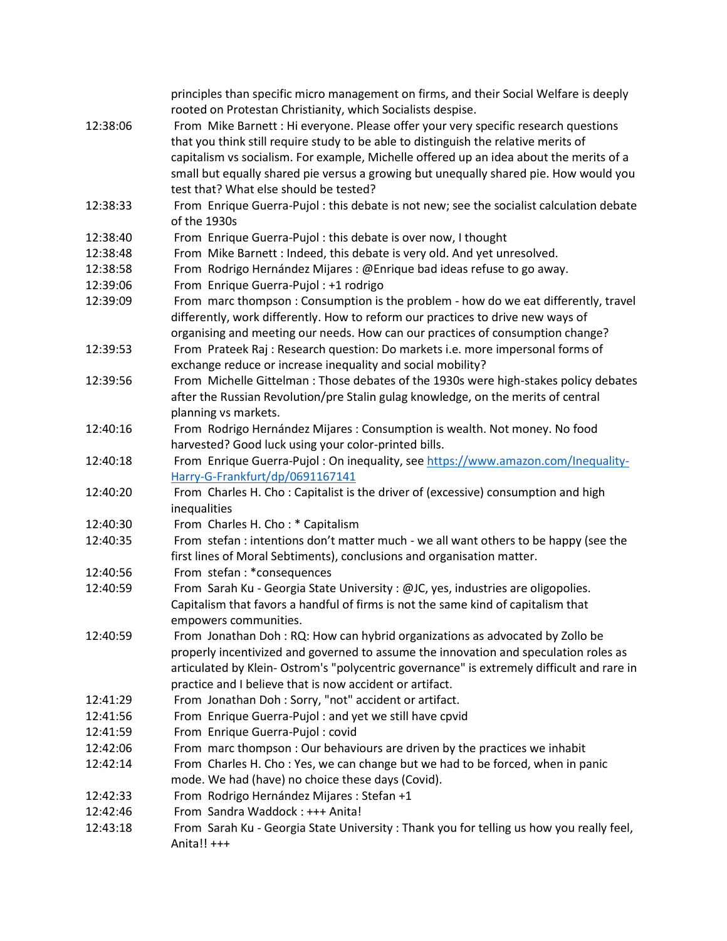|          | principles than specific micro management on firms, and their Social Welfare is deeply    |
|----------|-------------------------------------------------------------------------------------------|
|          | rooted on Protestan Christianity, which Socialists despise.                               |
| 12:38:06 | From Mike Barnett: Hi everyone. Please offer your very specific research questions        |
|          | that you think still require study to be able to distinguish the relative merits of       |
|          | capitalism vs socialism. For example, Michelle offered up an idea about the merits of a   |
|          | small but equally shared pie versus a growing but unequally shared pie. How would you     |
|          | test that? What else should be tested?                                                    |
| 12:38:33 | From Enrique Guerra-Pujol : this debate is not new; see the socialist calculation debate  |
|          | of the 1930s                                                                              |
| 12:38:40 | From Enrique Guerra-Pujol : this debate is over now, I thought                            |
| 12:38:48 | From Mike Barnett : Indeed, this debate is very old. And yet unresolved.                  |
| 12:38:58 | From Rodrigo Hernández Mijares : @Enrique bad ideas refuse to go away.                    |
| 12:39:06 | From Enrique Guerra-Pujol : +1 rodrigo                                                    |
| 12:39:09 | From marc thompson : Consumption is the problem - how do we eat differently, travel       |
|          | differently, work differently. How to reform our practices to drive new ways of           |
|          | organising and meeting our needs. How can our practices of consumption change?            |
| 12:39:53 | From Prateek Raj: Research question: Do markets i.e. more impersonal forms of             |
|          | exchange reduce or increase inequality and social mobility?                               |
| 12:39:56 | From Michelle Gittelman: Those debates of the 1930s were high-stakes policy debates       |
|          | after the Russian Revolution/pre Stalin gulag knowledge, on the merits of central         |
|          | planning vs markets.                                                                      |
| 12:40:16 | From Rodrigo Hernández Mijares : Consumption is wealth. Not money. No food                |
|          | harvested? Good luck using your color-printed bills.                                      |
| 12:40:18 | From Enrique Guerra-Pujol: On inequality, see https://www.amazon.com/Inequality-          |
|          | Harry-G-Frankfurt/dp/0691167141                                                           |
| 12:40:20 | From Charles H. Cho: Capitalist is the driver of (excessive) consumption and high         |
|          | inequalities                                                                              |
| 12:40:30 | From Charles H. Cho: * Capitalism                                                         |
| 12:40:35 | From stefan : intentions don't matter much - we all want others to be happy (see the      |
|          | first lines of Moral Sebtiments), conclusions and organisation matter.                    |
| 12:40:56 | From stefan: *consequences                                                                |
| 12:40:59 | From Sarah Ku - Georgia State University : @JC, yes, industries are oligopolies.          |
|          | Capitalism that favors a handful of firms is not the same kind of capitalism that         |
|          | empowers communities.                                                                     |
| 12:40:59 | From Jonathan Doh: RQ: How can hybrid organizations as advocated by Zollo be              |
|          | properly incentivized and governed to assume the innovation and speculation roles as      |
|          | articulated by Klein-Ostrom's "polycentric governance" is extremely difficult and rare in |
|          | practice and I believe that is now accident or artifact.                                  |
| 12:41:29 | From Jonathan Doh : Sorry, "not" accident or artifact.                                    |
| 12:41:56 | From Enrique Guerra-Pujol: and yet we still have cpvid                                    |
| 12:41:59 | From Enrique Guerra-Pujol: covid                                                          |
| 12:42:06 | From marc thompson : Our behaviours are driven by the practices we inhabit                |
| 12:42:14 | From Charles H. Cho: Yes, we can change but we had to be forced, when in panic            |
|          | mode. We had (have) no choice these days (Covid).                                         |
| 12:42:33 | From Rodrigo Hernández Mijares : Stefan +1                                                |
| 12:42:46 | From Sandra Waddock: +++ Anita!                                                           |
| 12:43:18 | From Sarah Ku - Georgia State University: Thank you for telling us how you really feel,   |
|          | Anita!! +++                                                                               |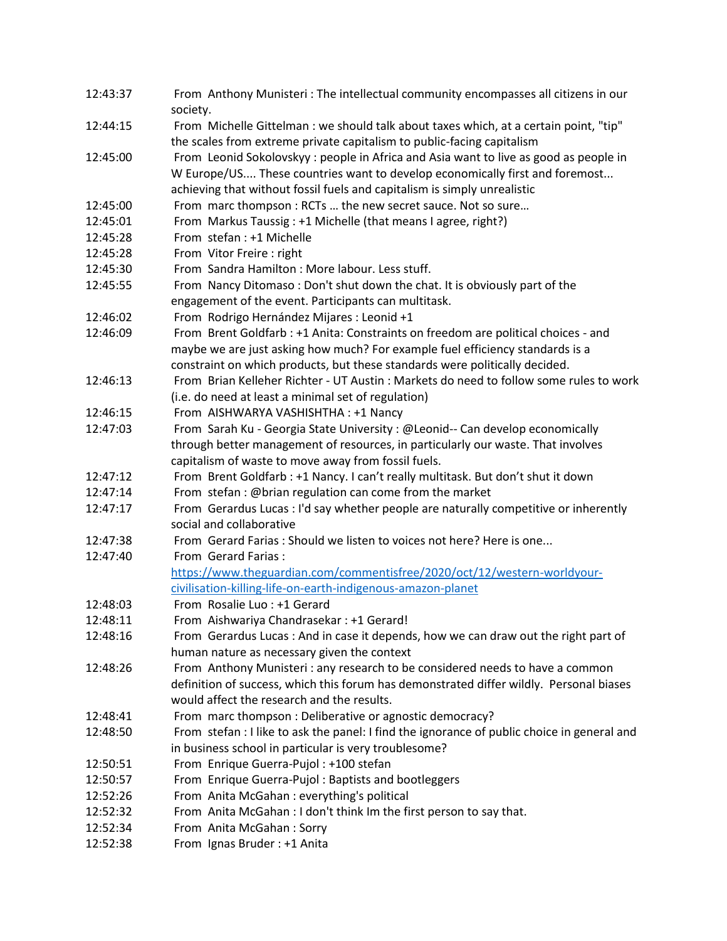| 12:43:37 | From Anthony Munisteri: The intellectual community encompasses all citizens in our<br>society. |
|----------|------------------------------------------------------------------------------------------------|
| 12:44:15 | From Michelle Gittelman : we should talk about taxes which, at a certain point, "tip"          |
|          | the scales from extreme private capitalism to public-facing capitalism                         |
| 12:45:00 | From Leonid Sokolovskyy: people in Africa and Asia want to live as good as people in           |
|          | W Europe/US These countries want to develop economically first and foremost                    |
|          | achieving that without fossil fuels and capitalism is simply unrealistic                       |
| 12:45:00 | From marc thompson : RCTs  the new secret sauce. Not so sure                                   |
| 12:45:01 | From Markus Taussig : +1 Michelle (that means I agree, right?)                                 |
| 12:45:28 | From stefan: +1 Michelle                                                                       |
| 12:45:28 | From Vitor Freire : right                                                                      |
| 12:45:30 | From Sandra Hamilton: More labour. Less stuff.                                                 |
| 12:45:55 | From Nancy Ditomaso: Don't shut down the chat. It is obviously part of the                     |
|          | engagement of the event. Participants can multitask.                                           |
| 12:46:02 | From Rodrigo Hernández Mijares : Leonid +1                                                     |
| 12:46:09 | From Brent Goldfarb : +1 Anita: Constraints on freedom are political choices - and             |
|          | maybe we are just asking how much? For example fuel efficiency standards is a                  |
|          | constraint on which products, but these standards were politically decided.                    |
| 12:46:13 | From Brian Kelleher Richter - UT Austin: Markets do need to follow some rules to work          |
|          | (i.e. do need at least a minimal set of regulation)                                            |
| 12:46:15 | From AISHWARYA VASHISHTHA : +1 Nancy                                                           |
| 12:47:03 | From Sarah Ku - Georgia State University : @Leonid-- Can develop economically                  |
|          | through better management of resources, in particularly our waste. That involves               |
|          | capitalism of waste to move away from fossil fuels.                                            |
| 12:47:12 | From Brent Goldfarb : +1 Nancy. I can't really multitask. But don't shut it down               |
| 12:47:14 | From stefan: @brian regulation can come from the market                                        |
| 12:47:17 | From Gerardus Lucas : I'd say whether people are naturally competitive or inherently           |
|          | social and collaborative                                                                       |
| 12:47:38 | From Gerard Farias: Should we listen to voices not here? Here is one                           |
| 12:47:40 | From Gerard Farias:                                                                            |
|          | https://www.theguardian.com/commentisfree/2020/oct/12/western-worldyour-                       |
|          | civilisation-killing-life-on-earth-indigenous-amazon-planet                                    |
| 12:48:03 | From Rosalie Luo: +1 Gerard                                                                    |
| 12:48:11 | From Aishwariya Chandrasekar : +1 Gerard!                                                      |
| 12:48:16 | From Gerardus Lucas : And in case it depends, how we can draw out the right part of            |
|          | human nature as necessary given the context                                                    |
| 12:48:26 | From Anthony Munisteri : any research to be considered needs to have a common                  |
|          | definition of success, which this forum has demonstrated differ wildly. Personal biases        |
|          | would affect the research and the results.                                                     |
| 12:48:41 | From marc thompson : Deliberative or agnostic democracy?                                       |
| 12:48:50 | From stefan : I like to ask the panel: I find the ignorance of public choice in general and    |
|          | in business school in particular is very troublesome?                                          |
| 12:50:51 | From Enrique Guerra-Pujol: +100 stefan                                                         |
| 12:50:57 | From Enrique Guerra-Pujol: Baptists and bootleggers                                            |
| 12:52:26 | From Anita McGahan : everything's political                                                    |
| 12:52:32 | From Anita McGahan : I don't think Im the first person to say that.                            |
| 12:52:34 | From Anita McGahan: Sorry                                                                      |
| 12:52:38 | From Ignas Bruder: +1 Anita                                                                    |
|          |                                                                                                |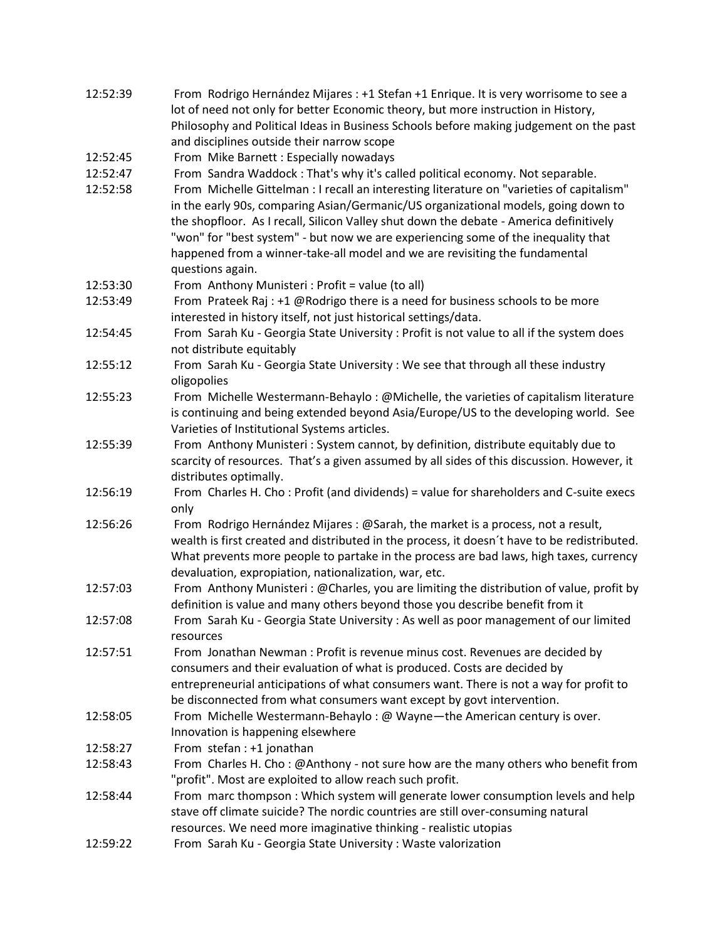| 12:52:39 | From Rodrigo Hernández Mijares : +1 Stefan +1 Enrique. It is very worrisome to see a   |
|----------|----------------------------------------------------------------------------------------|
|          | lot of need not only for better Economic theory, but more instruction in History,      |
|          | Philosophy and Political Ideas in Business Schools before making judgement on the past |
|          | and disciplines outside their narrow scope                                             |

12:52:45 From Mike Barnett : Especially nowadays

12:52:47 From Sandra Waddock : That's why it's called political economy. Not separable.

- 12:52:58 From Michelle Gittelman : I recall an interesting literature on "varieties of capitalism" in the early 90s, comparing Asian/Germanic/US organizational models, going down to the shopfloor. As I recall, Silicon Valley shut down the debate - America definitively "won" for "best system" - but now we are experiencing some of the inequality that happened from a winner-take-all model and we are revisiting the fundamental questions again.
- 12:53:30 From Anthony Munisteri : Profit = value (to all)
- 12:53:49 From Prateek Raj : +1 @Rodrigo there is a need for business schools to be more interested in history itself, not just historical settings/data.
- 12:54:45 From Sarah Ku Georgia State University : Profit is not value to all if the system does not distribute equitably
- 12:55:12 From Sarah Ku Georgia State University : We see that through all these industry oligopolies
- 12:55:23 From Michelle Westermann-Behaylo : @Michelle, the varieties of capitalism literature is continuing and being extended beyond Asia/Europe/US to the developing world. See Varieties of Institutional Systems articles.
- 12:55:39 From Anthony Munisteri : System cannot, by definition, distribute equitably due to scarcity of resources. That's a given assumed by all sides of this discussion. However, it distributes optimally.
- 12:56:19 From Charles H. Cho : Profit (and dividends) = value for shareholders and C-suite execs only
- 12:56:26 From Rodrigo Hernández Mijares : @Sarah, the market is a process, not a result, wealth is first created and distributed in the process, it doesn´t have to be redistributed. What prevents more people to partake in the process are bad laws, high taxes, currency devaluation, expropiation, nationalization, war, etc.
- 12:57:03 From Anthony Munisteri : @Charles, you are limiting the distribution of value, profit by definition is value and many others beyond those you describe benefit from it
- 12:57:08 From Sarah Ku Georgia State University : As well as poor management of our limited resources
- 12:57:51 From Jonathan Newman : Profit is revenue minus cost. Revenues are decided by consumers and their evaluation of what is produced. Costs are decided by entrepreneurial anticipations of what consumers want. There is not a way for profit to be disconnected from what consumers want except by govt intervention.
- 12:58:05 From Michelle Westermann-Behaylo : @ Wayne—the American century is over. Innovation is happening elsewhere
- 12:58:27 From stefan : +1 jonathan
- 12:58:43 From Charles H. Cho : @Anthony not sure how are the many others who benefit from "profit". Most are exploited to allow reach such profit.
- 12:58:44 From marc thompson : Which system will generate lower consumption levels and help stave off climate suicide? The nordic countries are still over-consuming natural resources. We need more imaginative thinking - realistic utopias
- 12:59:22 From Sarah Ku Georgia State University : Waste valorization